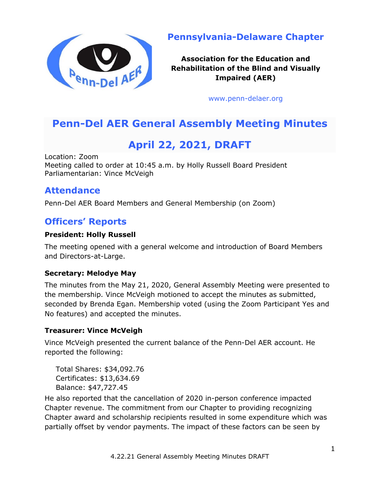

**Pennsylvania-Delaware Chapter**

**Association for the Education and Rehabilitation of the Blind and Visually Impaired (AER)**

[www.penn-delaer.org](https://www.penn-delaer.org/)

# **Penn-Del AER General Assembly Meeting Minutes**

# **April 22, 2021, DRAFT**

Location: Zoom Meeting called to order at 10:45 a.m. by Holly Russell Board President Parliamentarian: Vince McVeigh

## **Attendance**

Penn-Del AER Board Members and General Membership (on Zoom)

# **Officers' Reports**

#### **President: Holly Russell**

The meeting opened with a general welcome and introduction of Board Members and Directors-at-Large.

#### **Secretary: Melodye May**

The minutes from the May 21, 2020, General Assembly Meeting were presented to the membership. Vince McVeigh motioned to accept the minutes as submitted, seconded by Brenda Egan. Membership voted (using the Zoom Participant Yes and No features) and accepted the minutes.

#### **Treasurer: Vince McVeigh**

Vince McVeigh presented the current balance of the Penn-Del AER account. He reported the following:

Total Shares: \$34,092.76 Certificates: \$13,634.69 Balance: \$47,727.45

He also reported that the cancellation of 2020 in-person conference impacted Chapter revenue. The commitment from our Chapter to providing recognizing Chapter award and scholarship recipients resulted in some expenditure which was partially offset by vendor payments. The impact of these factors can be seen by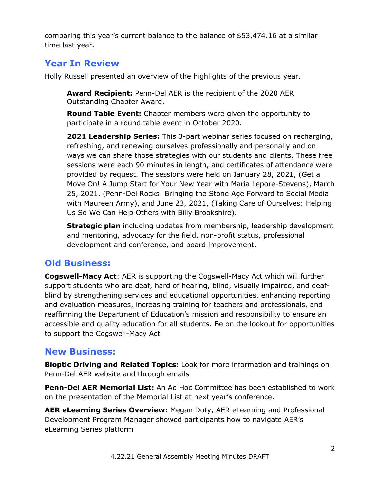comparing this year's current balance to the balance of \$53,474.16 at a similar time last year.

## **Year In Review**

Holly Russell presented an overview of the highlights of the previous year.

**Award Recipient:** Penn-Del AER is the recipient of the 2020 AER Outstanding Chapter Award.

**Round Table Event:** Chapter members were given the opportunity to participate in a round table event in October 2020.

**2021 Leadership Series:** This 3-part webinar series focused on recharging, refreshing, and renewing ourselves professionally and personally and on ways we can share those strategies with our students and clients. These free sessions were each 90 minutes in length, and certificates of attendance were provided by request. The sessions were held on January 28, 2021, (Get a Move On! A Jump Start for Your New Year with Maria Lepore-Stevens), March 25, 2021, (Penn-Del Rocks! Bringing the Stone Age Forward to Social Media with Maureen Army), and June 23, 2021, (Taking Care of Ourselves: Helping Us So We Can Help Others with Billy Brookshire).

**Strategic plan** including updates from membership, leadership development and mentoring, advocacy for the field, non-profit status, professional development and conference, and board improvement.

# **Old Business:**

**Cogswell-Macy Act**: AER is supporting the Cogswell-Macy Act which will further support students who are deaf, hard of hearing, blind, visually impaired, and deafblind by strengthening services and educational opportunities, enhancing reporting and evaluation measures, increasing training for teachers and professionals, and reaffirming the Department of Education's mission and responsibility to ensure an accessible and quality education for all students. Be on the lookout for opportunities to support the Cogswell-Macy Act.

## **New Business:**

**Bioptic Driving and Related Topics:** Look for more information and trainings on Penn-Del AER website and through emails

**Penn-Del AER Memorial List:** An Ad Hoc Committee has been established to work on the presentation of the Memorial List at next year's conference.

**AER eLearning Series Overview:** Megan Doty, AER eLearning and Professional Development Program Manager showed participants how to navigate AER's eLearning Series platform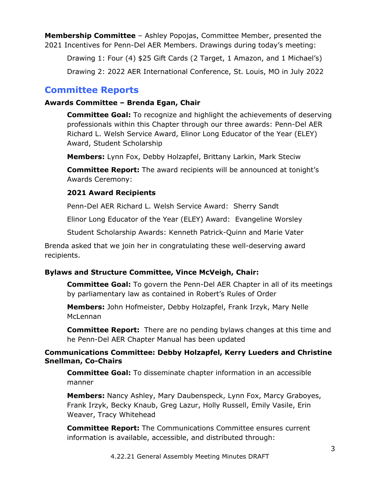**Membership Committee** – Ashley Popojas, Committee Member, presented the 2021 Incentives for Penn-Del AER Members. Drawings during today's meeting:

Drawing 1: Four (4) \$25 Gift Cards (2 Target, 1 Amazon, and 1 Michael's)

Drawing 2: 2022 AER International Conference, St. Louis, MO in July 2022

### **Committee Reports**

#### **Awards Committee – Brenda Egan, Chair**

**Committee Goal:** To recognize and highlight the achievements of deserving professionals within this Chapter through our three awards: Penn-Del AER Richard L. Welsh Service Award, Elinor Long Educator of the Year (ELEY) Award, Student Scholarship

**Members:** Lynn Fox, Debby Holzapfel, Brittany Larkin, Mark Steciw

**Committee Report:** The award recipients will be announced at tonight's Awards Ceremony:

#### **2021 Award Recipients**

Penn-Del AER Richard L. Welsh Service Award: Sherry Sandt

Elinor Long Educator of the Year (ELEY) Award: Evangeline Worsley

Student Scholarship Awards: Kenneth Patrick-Quinn and Marie Vater

Brenda asked that we join her in congratulating these well-deserving award recipients.

#### **Bylaws and Structure Committee, Vince McVeigh, Chair:**

**Committee Goal:** To govern the Penn-Del AER Chapter in all of its meetings by parliamentary law as contained in Robert's Rules of Order

**Members:** John Hofmeister, Debby Holzapfel, Frank Irzyk, Mary Nelle McLennan

**Committee Report:** There are no pending bylaws changes at this time and he Penn-Del AER Chapter Manual has been updated

#### **Communications Committee: Debby Holzapfel, Kerry Lueders and Christine Snellman, Co-Chairs**

**Committee Goal:** To disseminate chapter information in an accessible manner

**Members:** Nancy Ashley, Mary Daubenspeck, Lynn Fox, Marcy Graboyes, Frank Irzyk, Becky Knaub, Greg Lazur, Holly Russell, Emily Vasile, Erin Weaver, Tracy Whitehead

**Committee Report:** The Communications Committee ensures current information is available, accessible, and distributed through: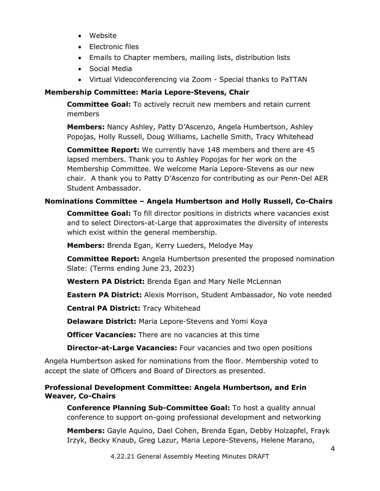- Website
- Electronic files
- Emails to Chapter members, mailing lists, distribution lists
- Social Media
- Virtual Videoconferencing via Zoom Special thanks to PaTTAN

#### **Membership Committee: Maria Lepore-Stevens, Chair**

**Committee Goal:** To actively recruit new members and retain current members

**Members:** Nancy Ashley, Patty D'Ascenzo, Angela Humbertson, Ashley Popojas, Holly Russell, Doug Williams, Lachelle Smith, Tracy Whitehead

**Committee Report:** We currently have 148 members and there are 45 lapsed members. Thank you to Ashley Popojas for her work on the Membership Committee. We welcome Maria Lepore-Stevens as our new chair. A thank you to Patty D'Ascenzo for contributing as our Penn-Del AER Student Ambassador.

#### **Nominations Committee – Angela Humbertson and Holly Russell, Co-Chairs**

**Committee Goal:** To fill director positions in districts where vacancies exist and to select Directors-at-Large that approximates the diversity of interests which exist within the general membership.

**Members:** Brenda Egan, Kerry Lueders, Melodye May

**Committee Report:** Angela Humbertson presented the proposed nomination Slate: (Terms ending June 23, 2023)

**Western PA District:** Brenda Egan and Mary Nelle McLennan

**Eastern PA District:** Alexis Morrison, Student Ambassador, No vote needed

**Central PA District:** Tracy Whitehead

**Delaware District:** Maria Lepore-Stevens and Yomi Koya

**Officer Vacancies:** There are no vacancies at this time

**Director-at-Large Vacancies:** Four vacancies and two open positions

Angela Humbertson asked for nominations from the floor. Membership voted to accept the slate of Officers and Board of Directors as presented.

#### **Professional Development Committee: Angela Humbertson, and Erin Weaver, Co-Chairs**

**Conference Planning Sub-Committee Goal:** To host a quality annual conference to support on-going professional development and networking

**Members:** Gayle Aquino, Dael Cohen, Brenda Egan, Debby Holzapfel, Frayk Irzyk, Becky Knaub, Greg Lazur, Maria Lepore-Stevens, Helene Marano,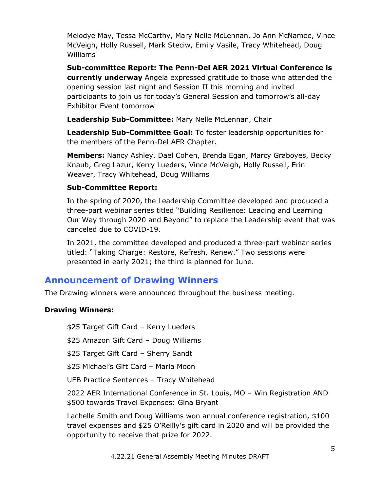Melodye May, Tessa McCarthy, Mary Nelle McLennan, Jo Ann McNamee, Vince McVeigh, Holly Russell, Mark Steciw, Emily Vasile, Tracy Whitehead, Doug Williams

**Sub-committee Report: The Penn-Del AER 2021 Virtual Conference is currently underway** Angela expressed gratitude to those who attended the opening session last night and Session II this morning and invited participants to join us for today's General Session and tomorrow's all-day Exhibitor Event tomorrow

**Leadership Sub-Committee:** Mary Nelle McLennan, Chair

**Leadership Sub-Committee Goal:** To foster leadership opportunities for the members of the Penn-Del AER Chapter.

**Members:** Nancy Ashley, Dael Cohen, Brenda Egan, Marcy Graboyes, Becky Knaub, Greg Lazur, Kerry Lueders, Vince McVeigh, Holly Russell, Erin Weaver, Tracy Whitehead, Doug Williams

#### **Sub-Committee Report:**

In the spring of 2020, the Leadership Committee developed and produced a three-part webinar series titled "Building Resilience: Leading and Learning Our Way through 2020 and Beyond" to replace the Leadership event that was canceled due to COVID-19.

In 2021, the committee developed and produced a three-part webinar series titled: "Taking Charge: Restore, Refresh, Renew." Two sessions were presented in early 2021; the third is planned for June.

### **Announcement of Drawing Winners**

The Drawing winners were announced throughout the business meeting.

#### **Drawing Winners:**

\$25 Target Gift Card – Kerry Lueders

\$25 Amazon Gift Card – Doug Williams

\$25 Target Gift Card – Sherry Sandt

\$25 Michael's Gift Card – Marla Moon

UEB Practice Sentences – Tracy Whitehead

2022 AER International Conference in St. Louis, MO – Win Registration AND \$500 towards Travel Expenses: Gina Bryant

Lachelle Smith and Doug Williams won annual conference registration, \$100 travel expenses and \$25 O'Reilly's gift card in 2020 and will be provided the opportunity to receive that prize for 2022.